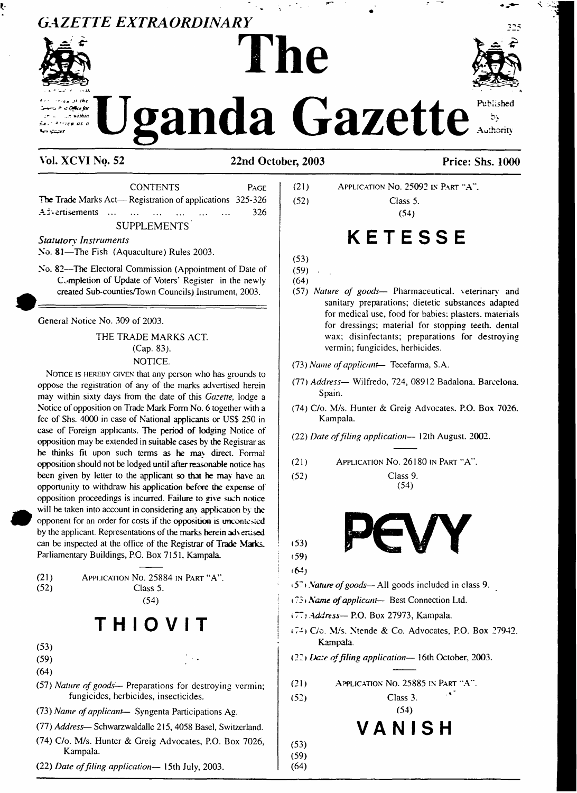## *GAZETTE EXTRAORDINARY*



ţ.

# **Uganda Gazette**

**The**

### **Vol. XCVI No. 52 22nd October, 2003 Price: Shs. 1000**

CONTENTS Page The Trade Marks Act— Registration of applications 325-326 AJ.enisements ........................................................ 326

**SUPPLEMENTS** 

*Statutory Instruments*

No. 81—The Fish (Aquaculture) Rules 2003.

No. 82—The Electoral Commission (Appointment of Date of Completion of Update of Voters' Register in the newly created Sub-counties/Town Councils) Instrument. 2003.

General Notice No. 309 of 2003.

THE TRADE MARKS ACT. (Cap. 83). NOTICE.

NOTICE IS HEREBY GIVEN that any person who has grounds to oppose the registration of any of the marks advertised herein may within sixty days from the date of this *Gazette,* lodge a Notice of opposition on Trade Mark Form No. 6 together with a fee of Shs. 4000 in case of National applicants or USS 250 in case of Foreign applicants. The period of lodging Notice of opposition may be extended in suitable cases by the Registrar as he thinks fit upon such terms as he ma\ direct. Formal opposition should not be lodged until afterreasonable notice has been given by letter to the applicant so that he may have an opportunity to withdraw his application before the expense of opposition proceedings is incurred. Failure to give such notice will be taken into account in considering any application by the opponent for an order for costs if the opposition is uncontested by the applicant. Representations of the marks herein advertised can be inspected at the office of the Registrar of Trade Marks. Parliamentary Buildings, P.O. Box 7151, Kampala.

(21) Application No. 25884 in Part "A". (52) Class 5.

(54)

## **T H <sup>I</sup> O V <sup>I</sup> T**

- (53)
- $(59)$  .  $\qquad \qquad \bullet$  .
- (64)
- (57) *Nature of goods—* Preparations for destroying vermin; fungicides, herbicides, insecticides.
- (73) *Name ofapplicant—* Syngenta Participations Ag.
- (77) *Address* Schwarzwaldalle 215, 4058 Basel, Switzerland.
- (74) C/o. M/s. Hunter & Greig Advocates, P.O. Box 7026, Kampala.
- (22) *Date offiling application—* 15th July, 2003.

(21) Application No. 25092 in Part "A". (52) Class 5. (54)

## **KETESSE**

(53)

 $(59)$ (64)

(57) *Nature of goods—* Pharmaceutical, seterinary and sanitary preparations; dietetic substances adapted for medical use, food for babies; plasters, materials for dressings; material for stopping teeth, denial wax; disinfectants; preparations for destroying vermin; fungicides, herbicides.

(73) *Name ofapplicant*— Tecefarma, S.A.

- (77) *Address—* Wilfredo, 724, 08912 Badalona. Barcelona. Spain.
- (74) C/o. M/s. Hunter & Greig Advocates. P.O. Box 7026. Kampala.
- (22) *Date offiling application—* 12th August. 2002.

(21) Application No. 26180 in Part "A".

(52) Class 9.



(54)

(59) <64j

(53)

- i5' <sup>&</sup>gt; *Nature ofgoods—*All goods included in class 9.
- (73*»Name ofapplicant—* Best Connection Ltd.
- »77 <sup>j</sup> *Address—* P.O. Box 27973, Kampala.
- $(74)$  C/o. M/s. Ntende & Co. Advocates, P.O. Box 27942. Kampala.

(22» *Date offiling application—* 16th October, 2003.

(21) Application No. 25885 in Part "A"

(52) Class 3.

(53) (59) (64)

(54) **VANI SH**





Published  $b<sub>2</sub>$ Authority